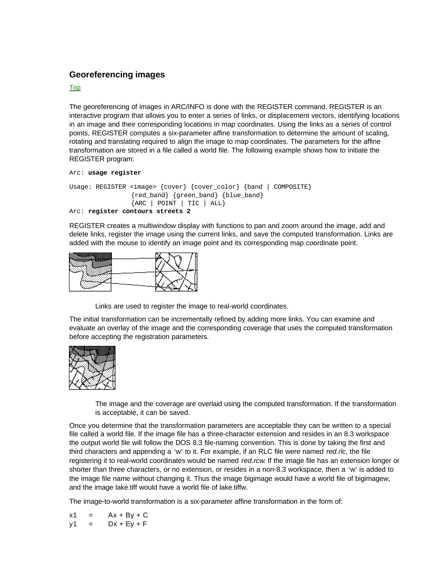## **Georeferencing images**

## Top

The georeferencing of images in ARC/INFO is done with the REGISTER command. REGISTER is an interactive program that allows you to enter a series of links, or displacement vectors, identifying locations in an image and their corresponding locations in map coordinates. Using the links as a series of control points, REGISTER computes a six-parameter affine transformation to determine the amount of scaling, rotating and translating required to align the image to map coordinates. The parameters for the affine transformation are stored in a file called a world file. The following example shows how to initiate the REGISTER program:

```
Arc: usage register
```

```
Usage: REGISTER <image> {cover} {cover_color} {band | COMPOSITE}
                {red_band} {green_band} {blue_band} 
                {ARC | POINT | TIC | ALL}
Arc: register contours streets 2
```
REGISTER creates a multiwindow display with functions to pan and zoom around the image, add and delete links, register the image using the current links, and save the computed transformation. Links are added with the mouse to identify an image point and its corresponding map coordinate point.



Links are used to register the image to real-world coordinates.

The initial transformation can be incrementally refined by adding more links. You can examine and evaluate an overlay of the image and the corresponding coverage that uses the computed transformation before accepting the registration parameters.



The image and the coverage are overlaid using the computed transformation. If the transformation is acceptable, it can be saved.

Once you determine that the transformation parameters are acceptable they can be written to a special file called a world file. If the image file has a three-character extension and resides in an 8.3 workspace the output world file will follow the DOS 8.3 file-naming convention. This is done by taking the first and third characters and appending a 'w' to it. For example, if an RLC file were named *red.rlc*, the file registering it to real-world coordinates would be named *red.rcw*. If the image file has an extension longer or shorter than three characters, or no extension, or resides in a non-8.3 workspace, then a 'w' is added to the image file name without changing it. Thus the image bigimage would have a world file of bigimagew, and the image lake.tiff would have a world file of lake.tiffw.

The image-to-world transformation is a six-parameter affine transformation in the form of:

 $x1 = Ax + By + C$  $y1 = Dx + Ey + F$